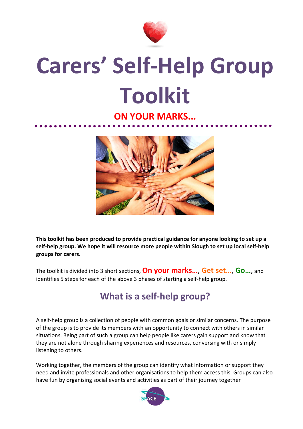

## **Carers' Self-Help Group Toolkit**

## **ON YOUR MARKS...**



**This toolkit has been produced to provide practical guidance for anyone looking to set up a self-help group. We hope it will resource more people within Slough to set up local self-help groups for carers.** 

The toolkit is divided into 3 short sections, **On your marks…**, **Get set…**, **Go…**, and identifies 5 steps for each of the above 3 phases of starting a self-help group.

## **What is a self-help group?**

A self-help group is a collection of people with common goals or similar concerns. The purpose of the group is to provide its members with an opportunity to connect with others in similar situations. Being part of such a group can help people like carers gain support and know that they are not alone through sharing experiences and resources, conversing with or simply listening to others.

Working together, the members of the group can identify what information or support they need and invite professionals and other organisations to help them access this. Groups can also have fun by organising social events and activities as part of their journey together

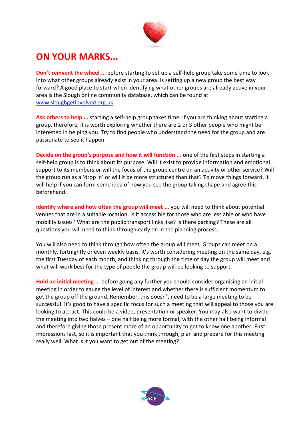

## **ON YOUR MARKS...**

**Don't reinvent the wheel ...** before starting to set up a self-help group take some time to look into what other groups already exist in your area. Is setting up a new group the best way forward? A good place to start when identifying what other groups are already active in your area is the Slough online community database, which can be found at [www.sloughgetinvolved.org.uk](http://www.sloughgetinvolved.org.uk/)

**Ask others to help ...** starting a self-help group takes time. If you are thinking about starting a group, therefore, it is worth exploring whether there are 2 or 3 other people who might be interested in helping you. Try to find people who understand the need for the group and are passionate to see it happen.

**Decide on the group's purpose and how it will function ...** one of the first steps in starting a self-help group is to think about its purpose. Will it exist to provide information and emotional support to its members or will the focus of the group centre on an activity or other service? Will the group run as a 'drop in' or will it be more structured than that? To move things forward, it will help if you can form some idea of how you see the group taking shape and agree this beforehand.

**Identify where and how often the group will meet ...** you will need to think about potential venues that are in a suitable location. Is it accessible for those who are less able or who have mobility issues? What are the public transport links like? Is there parking? These are all questions you will need to think through early on in the planning process.

You will also need to think through how often the group will meet. Groups can meet on a monthly, fortnightly or even weekly basis. It's worth considering meeting on the same day, e.g. the first Tuesday of each month, and thinking through the time of day the group will meet and what will work best for the type of people the group will be looking to support.

**Hold an initial meeting ...** before going any further you should consider organising an initial meeting in order to gauge the level of interest and whether there is sufficient momentum to get the group off the ground. Remember, this doesn't need to be a large meeting to be successful. It's good to have a specific focus for such a meeting that will appeal to those you are looking to attract. This could be a video, presentation or speaker. You may also want to divide the meeting into two halves – one half being more formal, with the other half being informal and therefore giving those present more of an opportunity to get to know one another. First impressions last, so it is important that you think through, plan and prepare for this meeting really well. What is it you want to get out of the meeting?